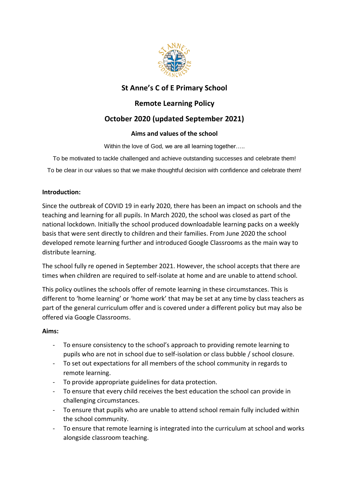

# **St Anne's C of E Primary School**

# **Remote Learning Policy**

# **October 2020 (updated September 2021)**

## **Aims and values of the school**

Within the love of God, we are all learning together.....

To be motivated to tackle challenged and achieve outstanding successes and celebrate them!

To be clear in our values so that we make thoughtful decision with confidence and celebrate them!

#### **Introduction:**

Since the outbreak of COVID 19 in early 2020, there has been an impact on schools and the teaching and learning for all pupils. In March 2020, the school was closed as part of the national lockdown. Initially the school produced downloadable learning packs on a weekly basis that were sent directly to children and their families. From June 2020 the school developed remote learning further and introduced Google Classrooms as the main way to distribute learning.

The school fully re opened in September 2021. However, the school accepts that there are times when children are required to self-isolate at home and are unable to attend school.

This policy outlines the schools offer of remote learning in these circumstances. This is different to 'home learning' or 'home work' that may be set at any time by class teachers as part of the general curriculum offer and is covered under a different policy but may also be offered via Google Classrooms.

### **Aims:**

- To ensure consistency to the school's approach to providing remote learning to pupils who are not in school due to self-isolation or class bubble / school closure.
- To set out expectations for all members of the school community in regards to remote learning.
- To provide appropriate guidelines for data protection.
- To ensure that every child receives the best education the school can provide in challenging circumstances.
- To ensure that pupils who are unable to attend school remain fully included within the school community.
- To ensure that remote learning is integrated into the curriculum at school and works alongside classroom teaching.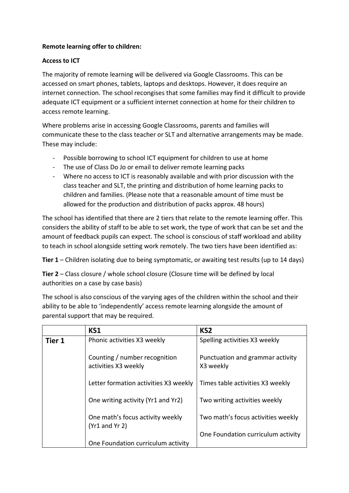### **Remote learning offer to children:**

#### **Access to ICT**

The majority of remote learning will be delivered via Google Classrooms. This can be accessed on smart phones, tablets, laptops and desktops. However, it does require an internet connection. The school recongises that some families may find it difficult to provide adequate ICT equipment or a sufficient internet connection at home for their children to access remote learning.

Where problems arise in accessing Google Classrooms, parents and families will communicate these to the class teacher or SLT and alternative arrangements may be made. These may include:

- Possible borrowing to school ICT equipment for children to use at home
- The use of Class Do Jo or email to deliver remote learning packs
- Where no access to ICT is reasonably available and with prior discussion with the class teacher and SLT, the printing and distribution of home learning packs to children and families. (Please note that a reasonable amount of time must be allowed for the production and distribution of packs approx. 48 hours)

The school has identified that there are 2 tiers that relate to the remote learning offer. This considers the ability of staff to be able to set work, the type of work that can be set and the amount of feedback pupils can expect. The school is conscious of staff workload and ability to teach in school alongside setting work remotely. The two tiers have been identified as:

**Tier 1** – Children isolating due to being symptomatic, or awaiting test results (up to 14 days)

**Tier 2** – Class closure / whole school closure (Closure time will be defined by local authorities on a case by case basis)

The school is also conscious of the varying ages of the children within the school and their ability to be able to 'independently' access remote learning alongside the amount of parental support that may be required.

|        | KS1                                                    | KS <sub>2</sub>                               |
|--------|--------------------------------------------------------|-----------------------------------------------|
| Tier 1 | Phonic activities X3 weekly                            | Spelling activities X3 weekly                 |
|        | Counting / number recognition<br>activities X3 weekly  | Punctuation and grammar activity<br>X3 weekly |
|        | Letter formation activities X3 weekly                  | Times table activities X3 weekly              |
|        | One writing activity (Yr1 and Yr2)                     | Two writing activities weekly                 |
|        | One math's focus activity weekly<br>$(Yr1$ and $Yr 2)$ | Two math's focus activities weekly            |
|        |                                                        | One Foundation curriculum activity            |
|        | One Foundation curriculum activity                     |                                               |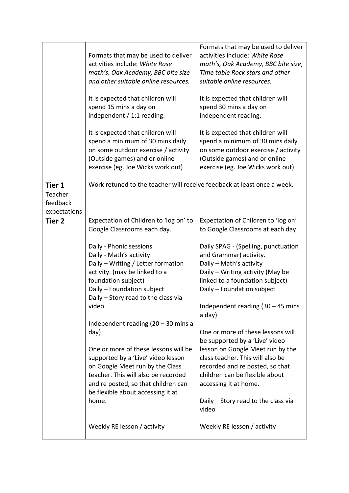|                                                      | Formats that may be used to deliver<br>activities include: White Rose<br>math's, Oak Academy, BBC bite size<br>and other suitable online resources.<br>It is expected that children will<br>spend 15 mins a day on<br>independent / 1:1 reading.<br>It is expected that children will<br>spend a minimum of 30 mins daily<br>on some outdoor exercise / activity<br>(Outside games) and or online<br>exercise (eg. Joe Wicks work out)                                                                                                                                                                       | Formats that may be used to deliver<br>activities include: White Rose<br>math's, Oak Academy, BBC bite size,<br>Time table Rock stars and other<br>suitable online resources.<br>It is expected that children will<br>spend 30 mins a day on<br>independent reading.<br>It is expected that children will<br>spend a minimum of 30 mins daily<br>on some outdoor exercise / activity<br>(Outside games) and or online<br>exercise (eg. Joe Wicks work out)                                                                                                                                                              |
|------------------------------------------------------|--------------------------------------------------------------------------------------------------------------------------------------------------------------------------------------------------------------------------------------------------------------------------------------------------------------------------------------------------------------------------------------------------------------------------------------------------------------------------------------------------------------------------------------------------------------------------------------------------------------|-------------------------------------------------------------------------------------------------------------------------------------------------------------------------------------------------------------------------------------------------------------------------------------------------------------------------------------------------------------------------------------------------------------------------------------------------------------------------------------------------------------------------------------------------------------------------------------------------------------------------|
| <b>Tier 1</b><br>Teacher<br>feedback<br>expectations | Work retuned to the teacher will receive feedback at least once a week.                                                                                                                                                                                                                                                                                                                                                                                                                                                                                                                                      |                                                                                                                                                                                                                                                                                                                                                                                                                                                                                                                                                                                                                         |
| <b>Tier 2</b>                                        | Expectation of Children to 'log on' to<br>Google Classrooms each day.<br>Daily - Phonic sessions<br>Daily - Math's activity<br>Daily - Writing / Letter formation<br>activity. (may be linked to a<br>foundation subject)<br>Daily - Foundation subject<br>Daily - Story read to the class via<br>video<br>Independent reading $(20 - 30 \text{ mins})$<br>day)<br>One or more of these lessons will be<br>supported by a 'Live' video lesson<br>on Google Meet run by the Class<br>teacher. This will also be recorded<br>and re posted, so that children can<br>be flexible about accessing it at<br>home. | Expectation of Children to 'log on'<br>to Google Classrooms at each day.<br>Daily SPAG - (Spelling, punctuation<br>and Grammar) activity.<br>Daily - Math's activity<br>Daily - Writing activity (May be<br>linked to a foundation subject)<br>Daily - Foundation subject<br>Independent reading $(30 - 45$ mins<br>a day)<br>One or more of these lessons will<br>be supported by a 'Live' video<br>lesson on Google Meet run by the<br>class teacher. This will also be<br>recorded and re posted, so that<br>children can be flexible about<br>accessing it at home.<br>Daily – Story read to the class via<br>video |
|                                                      | Weekly RE lesson / activity                                                                                                                                                                                                                                                                                                                                                                                                                                                                                                                                                                                  | Weekly RE lesson / activity                                                                                                                                                                                                                                                                                                                                                                                                                                                                                                                                                                                             |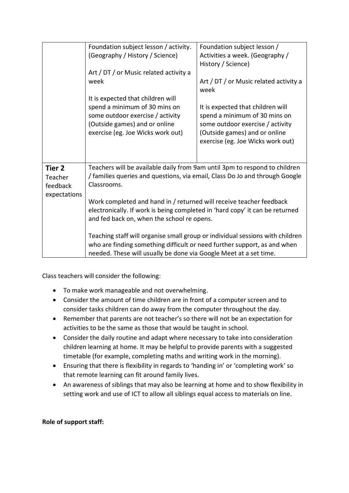|              | Foundation subject lesson / activity.                                         | Foundation subject lesson /                    |  |
|--------------|-------------------------------------------------------------------------------|------------------------------------------------|--|
|              | (Geography / History / Science)                                               | Activities a week. (Geography /                |  |
|              |                                                                               | History / Science)                             |  |
|              |                                                                               |                                                |  |
|              | Art / DT / or Music related activity a                                        |                                                |  |
|              | week                                                                          | Art / DT / or Music related activity a<br>week |  |
|              | It is expected that children will                                             |                                                |  |
|              | spend a minimum of 30 mins on                                                 | It is expected that children will              |  |
|              | some outdoor exercise / activity                                              | spend a minimum of 30 mins on                  |  |
|              | (Outside games) and or online                                                 | some outdoor exercise / activity               |  |
|              | exercise (eg. Joe Wicks work out)                                             | (Outside games) and or online                  |  |
|              |                                                                               | exercise (eg. Joe Wicks work out)              |  |
|              |                                                                               |                                                |  |
|              |                                                                               |                                                |  |
| Tier 2       | Teachers will be available daily from 9am until 3pm to respond to children    |                                                |  |
| Teacher      | / families queries and questions, via email, Class Do Jo and through Google   |                                                |  |
| feedback     | Classrooms.                                                                   |                                                |  |
|              |                                                                               |                                                |  |
| expectations | Work completed and hand in / returned will receive teacher feedback           |                                                |  |
|              |                                                                               |                                                |  |
|              | electronically. If work is being completed in 'hard copy' it can be returned  |                                                |  |
|              | and fed back on, when the school re opens.                                    |                                                |  |
|              |                                                                               |                                                |  |
|              | Teaching staff will organise small group or individual sessions with children |                                                |  |
|              | who are finding something difficult or need further support, as and when      |                                                |  |
|              | needed. These will usually be done via Google Meet at a set time.             |                                                |  |

Class teachers will consider the following:

- To make work manageable and not overwhelming.
- Consider the amount of time children are in front of a computer screen and to consider tasks children can do away from the computer throughout the day.
- Remember that parents are not teacher's so there will not be an expectation for activities to be the same as those that would be taught in school.
- Consider the daily routine and adapt where necessary to take into consideration children learning at home. It may be helpful to provide parents with a suggested timetable (for example, completing maths and writing work in the morning).
- Ensuring that there is flexibility in regards to 'handing in' or 'completing work' so that remote learning can fit around family lives.
- An awareness of siblings that may also be learning at home and to show flexibility in setting work and use of ICT to allow all siblings equal access to materials on line.

# **Role of support staff:**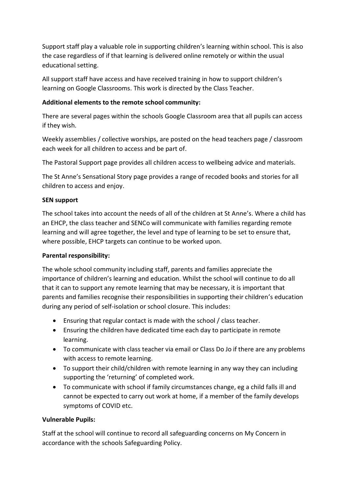Support staff play a valuable role in supporting children's learning within school. This is also the case regardless of if that learning is delivered online remotely or within the usual educational setting.

All support staff have access and have received training in how to support children's learning on Google Classrooms. This work is directed by the Class Teacher.

## **Additional elements to the remote school community:**

There are several pages within the schools Google Classroom area that all pupils can access if they wish.

Weekly assemblies / collective worships, are posted on the head teachers page / classroom each week for all children to access and be part of.

The Pastoral Support page provides all children access to wellbeing advice and materials.

The St Anne's Sensational Story page provides a range of recoded books and stories for all children to access and enjoy.

## **SEN support**

The school takes into account the needs of all of the children at St Anne's. Where a child has an EHCP, the class teacher and SENCo will communicate with families regarding remote learning and will agree together, the level and type of learning to be set to ensure that, where possible, EHCP targets can continue to be worked upon.

### **Parental responsibility:**

The whole school community including staff, parents and families appreciate the importance of children's learning and education. Whilst the school will continue to do all that it can to support any remote learning that may be necessary, it is important that parents and families recognise their responsibilities in supporting their children's education during any period of self-isolation or school closure. This includes:

- Ensuring that regular contact is made with the school / class teacher.
- Ensuring the children have dedicated time each day to participate in remote learning.
- To communicate with class teacher via email or Class Do Jo if there are any problems with access to remote learning.
- To support their child/children with remote learning in any way they can including supporting the 'returning' of completed work.
- To communicate with school if family circumstances change, eg a child falls ill and cannot be expected to carry out work at home, if a member of the family develops symptoms of COVID etc.

# **Vulnerable Pupils:**

Staff at the school will continue to record all safeguarding concerns on My Concern in accordance with the schools Safeguarding Policy.